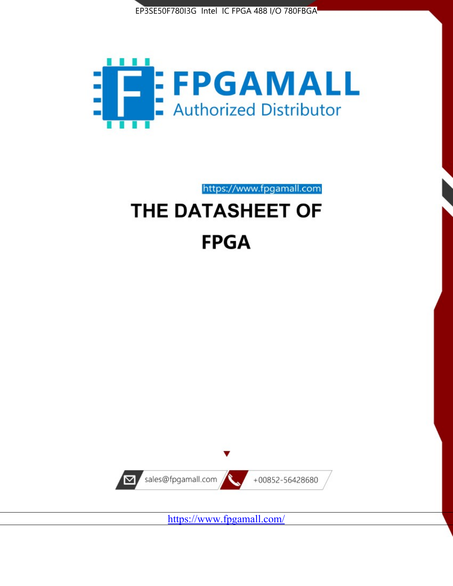



https://www.fpgamall.com THE DATASHEET OF

# **FPGA**



<https://www.fpgamall.com/>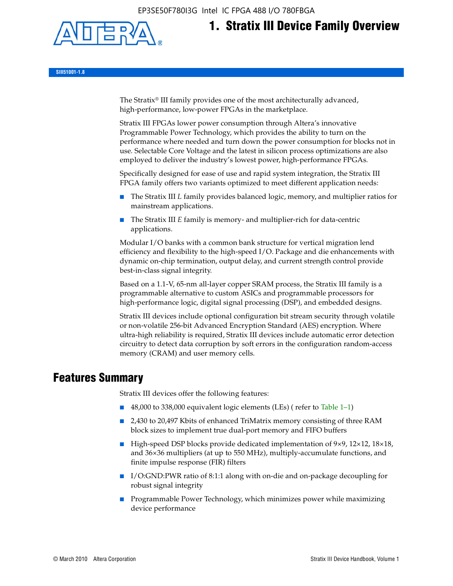EP3SE50F780I3G Intel IC FPGA 488 I/O 780FBGA



# **1. Stratix III Device Family Overview**

**SIII51001-1.8**

The Stratix® III family provides one of the most architecturally advanced, high-performance, low-power FPGAs in the marketplace.

Stratix III FPGAs lower power consumption through Altera's innovative Programmable Power Technology, which provides the ability to turn on the performance where needed and turn down the power consumption for blocks not in use. Selectable Core Voltage and the latest in silicon process optimizations are also employed to deliver the industry's lowest power, high-performance FPGAs.

Specifically designed for ease of use and rapid system integration, the Stratix III FPGA family offers two variants optimized to meet different application needs:

- The Stratix III *L* family provides balanced logic, memory, and multiplier ratios for mainstream applications.
- The Stratix III *E* family is memory- and multiplier-rich for data-centric applications.

Modular I/O banks with a common bank structure for vertical migration lend efficiency and flexibility to the high-speed I/O. Package and die enhancements with dynamic on-chip termination, output delay, and current strength control provide best-in-class signal integrity.

Based on a 1.1-V, 65-nm all-layer copper SRAM process, the Stratix III family is a programmable alternative to custom ASICs and programmable processors for high-performance logic, digital signal processing (DSP), and embedded designs.

Stratix III devices include optional configuration bit stream security through volatile or non-volatile 256-bit Advanced Encryption Standard (AES) encryption. Where ultra-high reliability is required, Stratix III devices include automatic error detection circuitry to detect data corruption by soft errors in the configuration random-access memory (CRAM) and user memory cells.

# **Features Summary**

Stratix III devices offer the following features:

- 48,000 to 338,000 equivalent logic elements (LEs) (refer to Table 1–1)
- 2,430 to 20,497 Kbits of enhanced TriMatrix memory consisting of three RAM block sizes to implement true dual-port memory and FIFO buffers
- High-speed DSP blocks provide dedicated implementation of 9×9, 12×12, 18×18, and 36×36 multipliers (at up to 550 MHz), multiply-accumulate functions, and finite impulse response (FIR) filters
- I/O:GND:PWR ratio of 8:1:1 along with on-die and on-package decoupling for robust signal integrity
- Programmable Power Technology, which minimizes power while maximizing device performance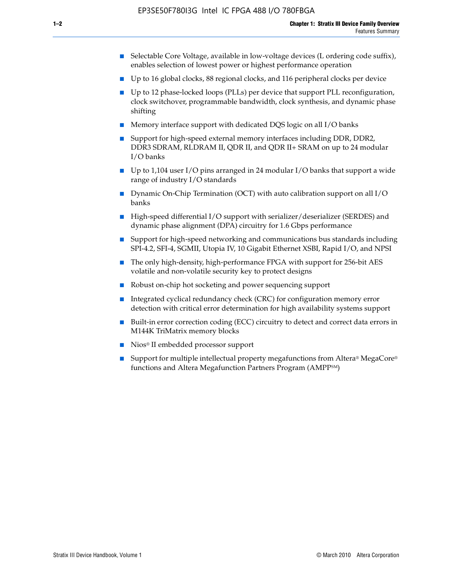- Selectable Core Voltage, available in low-voltage devices (L ordering code suffix), enables selection of lowest power or highest performance operation
- Up to 16 global clocks, 88 regional clocks, and 116 peripheral clocks per device
- Up to 12 phase-locked loops (PLLs) per device that support PLL reconfiguration, clock switchover, programmable bandwidth, clock synthesis, and dynamic phase shifting
- Memory interface support with dedicated DQS logic on all I/O banks
- Support for high-speed external memory interfaces including DDR, DDR2, DDR3 SDRAM, RLDRAM II, QDR II, and QDR II+ SRAM on up to 24 modular I/O banks
- Up to 1,104 user I/O pins arranged in 24 modular I/O banks that support a wide range of industry I/O standards
- Dynamic On-Chip Termination (OCT) with auto calibration support on all  $I/O$ banks
- High-speed differential I/O support with serializer/deserializer (SERDES) and dynamic phase alignment (DPA) circuitry for 1.6 Gbps performance
- Support for high-speed networking and communications bus standards including SPI-4.2, SFI-4, SGMII, Utopia IV, 10 Gigabit Ethernet XSBI, Rapid I/O, and NPSI
- The only high-density, high-performance FPGA with support for 256-bit AES volatile and non-volatile security key to protect designs
- Robust on-chip hot socketing and power sequencing support
- Integrated cyclical redundancy check (CRC) for configuration memory error detection with critical error determination for high availability systems support
- Built-in error correction coding (ECC) circuitry to detect and correct data errors in M144K TriMatrix memory blocks
- Nios<sup>®</sup> II embedded processor support
- Support for multiple intellectual property megafunctions from Altera® MegaCore® functions and Altera Megafunction Partners Program (AMPPSM)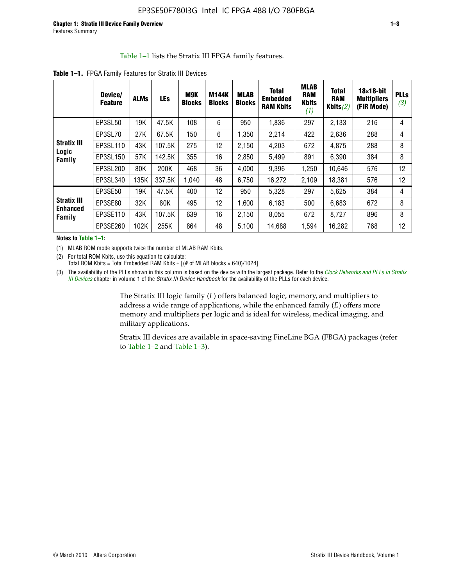#### Table 1–1 lists the Stratix III FPGA family features.

|                                       | Device/<br><b>Feature</b> | <b>ALMs</b> | <b>LEs</b> | <b>M9K</b><br><b>Blocks</b> | <b>M144K</b><br><b>Blocks</b> | <b>MLAB</b><br><b>Blocks</b> | <b>Total</b><br><b>Embedded</b><br><b>RAM Kbits</b> | <b>MLAB</b><br><b>RAM</b><br><b>Kbits</b><br>(1) | <b>Total</b><br><b>RAM</b><br>Kbits $(2)$ | $18\times18$ -bit<br><b>Multipliers</b><br>(FIR Mode) | <b>PLLs</b><br>(3) |
|---------------------------------------|---------------------------|-------------|------------|-----------------------------|-------------------------------|------------------------------|-----------------------------------------------------|--------------------------------------------------|-------------------------------------------|-------------------------------------------------------|--------------------|
|                                       | EP3SL50                   | 19K         | 47.5K      | 108                         | 6                             | 950                          | 1,836                                               | 297                                              | 2,133                                     | 216                                                   | 4                  |
|                                       | EP3SL70                   | 27K         | 67.5K      | 150                         | 6                             | 1,350                        | 2,214                                               | 422                                              | 2,636                                     | 288                                                   | 4                  |
| <b>Stratix III</b>                    | EP3SL110                  | 43K         | 107.5K     | 275                         | 12                            | 2,150                        | 4,203                                               | 672                                              | 4,875                                     | 288                                                   | 8                  |
| Logic<br>Family                       | EP3SL150                  | 57K         | 142.5K     | 355                         | 16                            | 2,850                        | 5,499                                               | 891                                              | 6,390                                     | 384                                                   | 8                  |
|                                       | EP3SL200                  | 80K         | 200K       | 468                         | 36                            | 4,000                        | 9,396                                               | 1,250                                            | 10,646                                    | 576                                                   | 12                 |
|                                       | EP3SL340                  | 135K        | 337.5K     | 1.040                       | 48                            | 6,750                        | 16,272                                              | 2,109                                            | 18,381                                    | 576                                                   | 12                 |
|                                       | EP3SE50                   | 19K         | 47.5K      | 400                         | 12                            | 950                          | 5,328                                               | 297                                              | 5,625                                     | 384                                                   | 4                  |
| <b>Stratix III</b><br><b>Enhanced</b> | EP3SE80                   | 32K         | 80K        | 495                         | 12                            | 1,600                        | 6,183                                               | 500                                              | 6,683                                     | 672                                                   | 8                  |
| Family                                | EP3SE110                  | 43K         | 107.5K     | 639                         | 16                            | 2,150                        | 8,055                                               | 672                                              | 8,727                                     | 896                                                   | 8                  |
|                                       | EP3SE260                  | 102K        | 255K       | 864                         | 48                            | 5,100                        | 14,688                                              | 1,594                                            | 16,282                                    | 768                                                   | 12                 |

**Table 1–1.** FPGA Family Features for Stratix III Devices

**Notes to Table 1–1:**

(1) MLAB ROM mode supports twice the number of MLAB RAM Kbits.

(2) For total ROM Kbits, use this equation to calculate: Total ROM Kbits = Total Embedded RAM Kbits +  $[(# of MLAB blocks × 640)/1024]$ 

(3) The availability of the PLLs shown in this column is based on the device with the largest package. Refer to the *[Clock Networks and PLLs in Stratix](http://www.altera.com/literature/hb/stx3/stx3_siii51006.pdf)  [III Devices](http://www.altera.com/literature/hb/stx3/stx3_siii51006.pdf)* chapter in volume 1 of the *Stratix III Device Handbook* for the availability of the PLLs for each device.

> The Stratix III logic family (*L*) offers balanced logic, memory, and multipliers to address a wide range of applications, while the enhanced family (*E*) offers more memory and multipliers per logic and is ideal for wireless, medical imaging, and military applications.

Stratix III devices are available in space-saving FineLine BGA (FBGA) packages (refer to Table 1–2 and Table 1–3).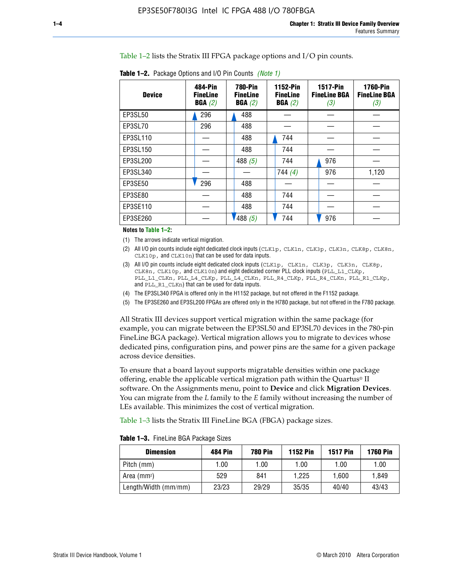Table 1–2 lists the Stratix III FPGA package options and I/O pin counts.

| <b>Device</b> | 484-Pin<br><b>FineLine</b><br>BGA(2) | <b>780-Pin</b><br><b>FineLine</b><br>BGA(2) | <b>1152-Pin</b><br><b>FineLine</b><br>BGA(2) | <b>1517-Pin</b><br><b>FineLine BGA</b><br>(3) | <b>1760-Pin</b><br><b>FineLine BGA</b><br>(3) |
|---------------|--------------------------------------|---------------------------------------------|----------------------------------------------|-----------------------------------------------|-----------------------------------------------|
| EP3SL50       | 296                                  | 488                                         |                                              |                                               |                                               |
| EP3SL70       | 296                                  | 488                                         |                                              |                                               |                                               |
| EP3SL110      |                                      | 488                                         | 744                                          |                                               |                                               |
| EP3SL150      |                                      | 488                                         | 744                                          |                                               |                                               |
| EP3SL200      |                                      | 488 $(5)$                                   | 744                                          | 976                                           |                                               |
| EP3SL340      |                                      |                                             | 744 $(4)$                                    | 976                                           | 1,120                                         |
| EP3SE50       | 296                                  | 488                                         |                                              |                                               |                                               |
| EP3SE80       |                                      | 488                                         | 744                                          |                                               |                                               |
| EP3SE110      |                                      | 488                                         | 744                                          |                                               |                                               |
| EP3SE260      |                                      | 488(5)                                      | 744                                          | 976                                           |                                               |

**Table 1–2.** Package Options and I/O Pin Counts *(Note 1)*

**Notes to Table 1–2:**

(1) The arrows indicate vertical migration.

- (2) All I/O pin counts include eight dedicated clock inputs (CLK1p, CLK1n, CLK3p, CLK3n, CLK8p, CLK8n, CLK10p, and CLK10n) that can be used for data inputs.
- (3) All I/O pin counts include eight dedicated clock inputs (CLK1p, CLK1n, CLK3p, CLK3n, CLK8p, CLK8n, CLK10p, and CLK10n) and eight dedicated corner PLL clock inputs (PLL\_L1\_CLKp, PLL\_L1\_CLKn, PLL\_L4\_CLKp, PLL\_L4\_CLKn, PLL\_R4\_CLKp, PLL\_R4\_CLKn, PLL\_R1\_CLKp, and PLL\_R1\_CLKn) that can be used for data inputs.
- (4) The EP3SL340 FPGA is offered only in the H1152 package, but not offered in the F1152 package.
- (5) The EP3SE260 and EP3SL200 FPGAs are offered only in the H780 package, but not offered in the F780 package.

All Stratix III devices support vertical migration within the same package (for example, you can migrate between the EP3SL50 and EP3SL70 devices in the 780-pin FineLine BGA package). Vertical migration allows you to migrate to devices whose dedicated pins, configuration pins, and power pins are the same for a given package across device densities.

To ensure that a board layout supports migratable densities within one package offering, enable the applicable vertical migration path within the Quartus® II software. On the Assignments menu, point to **Device** and click **Migration Devices**. You can migrate from the *L* family to the *E* family without increasing the number of LEs available. This minimizes the cost of vertical migration.

Table 1–3 lists the Stratix III FineLine BGA (FBGA) package sizes.

|  |  | <b>Table 1-3.</b> FineLine BGA Package Sizes |
|--|--|----------------------------------------------|
|--|--|----------------------------------------------|

| <b>Dimension</b>     | 484 Pin | 780 Pin | <b>1152 Pin</b> | <b>1517 Pin</b> | <b>1760 Pin</b> |
|----------------------|---------|---------|-----------------|-----------------|-----------------|
| Pitch (mm)           | 1.00    | 00. ا   | 1.00            | 1.00            | 1.00            |
| Area $(mm2)$         | 529     | 841     | 1.225           | 1.600           | 1.849           |
| Length/Width (mm/mm) | 23/23   | 29/29   | 35/35           | 40/40           | 43/43           |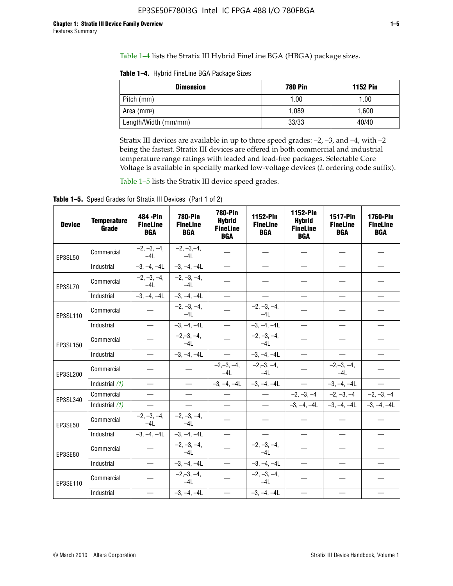Table 1–4 lists the Stratix III Hybrid FineLine BGA (HBGA) package sizes.

**Table 1–4.** Hybrid FineLine BGA Package Sizes

| <b>Dimension</b>     | <b>780 Pin</b> | <b>1152 Pin</b> |
|----------------------|----------------|-----------------|
| Pitch (mm)           | 1.00           | 1.00            |
| Area $(mm^2)$        | 1.089          | 1.600           |
| Length/Width (mm/mm) | 33/33          | 40/40           |

Stratix III devices are available in up to three speed grades: –2, –3, and –4, with –2 being the fastest. Stratix III devices are offered in both commercial and industrial temperature range ratings with leaded and lead-free packages. Selectable Core Voltage is available in specially marked low-voltage devices (*L* ordering code suffix).

Table 1–5 lists the Stratix III device speed grades.

Table 1-5. Speed Grades for Stratix III Devices (Part 1 of 2)

| <b>Device</b> | <b>Temperature</b><br>Grade | 484 - Pin<br><b>FineLine</b><br><b>BGA</b> | <b>780-Pin</b><br><b>FineLine</b><br><b>BGA</b> | 780-Pin<br><b>Hybrid</b><br><b>FineLine</b><br><b>BGA</b> | 1152-Pin<br><b>FineLine</b><br><b>BGA</b> | 1152-Pin<br><b>Hybrid</b><br><b>FineLine</b><br><b>BGA</b> | 1517-Pin<br><b>FineLine</b><br><b>BGA</b> | <b>1760-Pin</b><br><b>FineLine</b><br><b>BGA</b> |
|---------------|-----------------------------|--------------------------------------------|-------------------------------------------------|-----------------------------------------------------------|-------------------------------------------|------------------------------------------------------------|-------------------------------------------|--------------------------------------------------|
| EP3SL50       | Commercial                  | $-2, -3, -4,$<br>$-41$                     | $-2, -3, -4,$<br>$-4L$                          |                                                           |                                           |                                                            |                                           |                                                  |
|               | Industrial                  | $-3, -4, -4L$                              | $-3, -4, -4L$                                   | $\equiv$                                                  | $\equiv$                                  | $\overline{\phantom{0}}$                                   | $\overline{\phantom{0}}$                  | $\overline{\phantom{0}}$                         |
| EP3SL70       | Commercial                  | $-2, -3, -4,$<br>$-41$                     | $-2, -3, -4,$<br>$-41$                          |                                                           |                                           |                                                            |                                           |                                                  |
|               | Industrial                  | $-3, -4, -4L$                              | $-3, -4, -4L$                                   | $\qquad \qquad -$                                         | $\overline{\phantom{0}}$                  | $\overline{\phantom{0}}$                                   | $\equiv$                                  |                                                  |
| EP3SL110      | Commercial                  |                                            | $-2, -3, -4,$<br>$-4L$                          |                                                           | $-2, -3, -4,$<br>$-4L$                    |                                                            |                                           |                                                  |
|               | Industrial                  | $\overline{\phantom{0}}$                   | $-3, -4, -4L$                                   | $\frac{1}{1}$                                             | $-3, -4, -4L$                             | $\equiv$                                                   | $\equiv$                                  | $\overline{\phantom{0}}$                         |
| EP3SL150      | Commercial                  |                                            | $-2, -3, -4,$<br>$-41$                          |                                                           | $-2, -3, -4,$<br>$-41$                    |                                                            |                                           |                                                  |
|               | Industrial                  |                                            | $-3, -4, -4L$                                   | $\frac{1}{2}$                                             | $-3, -4, -4L$                             |                                                            | $\qquad \qquad -$                         | $\equiv$                                         |
| EP3SL200      | Commercial                  |                                            |                                                 | $-2, -3, -4,$<br>$-4L$                                    | $-2, -3, -4,$<br>$-4L$                    |                                                            | $-2,-3,-4,$<br>$-4L$                      |                                                  |
|               | Industrial (1)              | $\equiv$                                   | $\equiv$                                        | $-3, -4, -4L$                                             | $-3, -4, -4L$                             | $\frac{1}{1}$                                              | $-3, -4, -4L$                             | $\frac{1}{1}$                                    |
| EP3SL340      | Commercial                  |                                            | $\equiv$                                        |                                                           | $\frac{1}{2}$                             |                                                            | $-2, -3, -4$ $-2, -3, -4$                 | $-2, -3, -4$                                     |
|               | Industrial $(1)$            |                                            |                                                 | $\overline{\phantom{0}}$                                  | $-$                                       |                                                            | $-3, -4, -4$ $-3, -4, -4$                 | $-3, -4, -4L$                                    |
| EP3SE50       | Commercial                  | $-2, -3, -4,$<br>$-4L$                     | $-2, -3, -4,$<br>$-4L$                          |                                                           |                                           |                                                            |                                           |                                                  |
|               | Industrial                  | $-3, -4, -4L$                              | $-3, -4, -4L$                                   | $\equiv$                                                  | $\overline{\phantom{0}}$                  | $\overline{\phantom{0}}$                                   | $\overline{\phantom{0}}$                  | $\overline{\phantom{0}}$                         |
| EP3SE80       | Commercial                  |                                            | $-2, -3, -4,$<br>$-4L$                          |                                                           | $-2, -3, -4,$<br>$-4L$                    |                                                            |                                           |                                                  |
|               | Industrial                  |                                            | $-3, -4, -4L$                                   |                                                           | $-3, -4, -4L$                             |                                                            | $\equiv$                                  |                                                  |
| EP3SE110      | Commercial                  |                                            | $-2, -3, -4,$<br>$-4L$                          |                                                           | $-2, -3, -4,$<br>$-41$                    |                                                            |                                           |                                                  |
|               | Industrial                  |                                            | $-3, -4, -4L$                                   | $\overline{\phantom{0}}$                                  | $-3, -4, -4L$                             |                                                            |                                           |                                                  |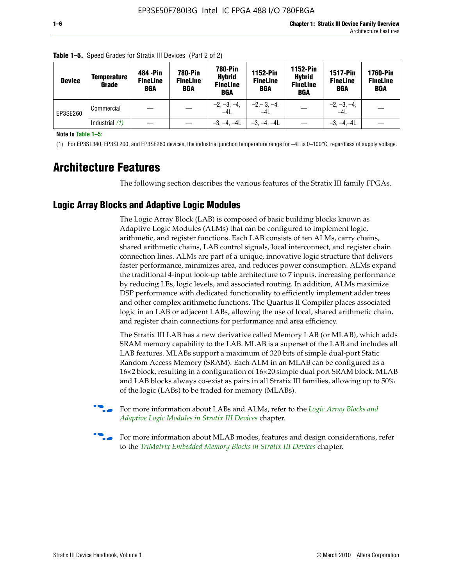| <b>Device</b> | Temperature<br>Grade | 484 - Pin<br><b>FineLine</b><br><b>BGA</b> | <b>780-Pin</b><br><b>FineLine</b><br>BGA | <b>780-Pin</b><br><b>Hybrid</b><br><b>FineLine</b><br><b>BGA</b> | 1152-Pin<br><b>FineLine</b><br><b>BGA</b> | <b>1152-Pin</b><br><b>Hybrid</b><br><b>FineLine</b><br><b>BGA</b> | <b>1517-Pin</b><br><b>FineLine</b><br><b>BGA</b> | <b>1760-Pin</b><br><b>FineLine</b><br><b>BGA</b> |
|---------------|----------------------|--------------------------------------------|------------------------------------------|------------------------------------------------------------------|-------------------------------------------|-------------------------------------------------------------------|--------------------------------------------------|--------------------------------------------------|
| EP3SE260      | Commercial           |                                            |                                          | $-2, -3, -4,$<br>$-4L$                                           | $-2, -3, -4,$<br>$-4L$                    |                                                                   | $-2, -3, -4,$<br>$-4L$                           |                                                  |
|               | Industrial $(1)$     |                                            |                                          | $-3, -4, -4L$                                                    | $-3, -4, -4L$                             |                                                                   | $-3, -4, -4L$                                    |                                                  |

**Table 1–5.** Speed Grades for Stratix III Devices (Part 2 of 2)

**Note to Table 1–5:**

(1) For EP3SL340, EP3SL200, and EP3SE260 devices, the industrial junction temperature range for –4L is 0–100°C, regardless of supply voltage.

# **Architecture Features**

The following section describes the various features of the Stratix III family FPGAs.

### **Logic Array Blocks and Adaptive Logic Modules**

The Logic Array Block (LAB) is composed of basic building blocks known as Adaptive Logic Modules (ALMs) that can be configured to implement logic, arithmetic, and register functions. Each LAB consists of ten ALMs, carry chains, shared arithmetic chains, LAB control signals, local interconnect, and register chain connection lines. ALMs are part of a unique, innovative logic structure that delivers faster performance, minimizes area, and reduces power consumption. ALMs expand the traditional 4-input look-up table architecture to 7 inputs, increasing performance by reducing LEs, logic levels, and associated routing. In addition, ALMs maximize DSP performance with dedicated functionality to efficiently implement adder trees and other complex arithmetic functions. The Quartus II Compiler places associated logic in an LAB or adjacent LABs, allowing the use of local, shared arithmetic chain, and register chain connections for performance and area efficiency.

The Stratix III LAB has a new derivative called Memory LAB (or MLAB), which adds SRAM memory capability to the LAB. MLAB is a superset of the LAB and includes all LAB features. MLABs support a maximum of 320 bits of simple dual-port Static Random Access Memory (SRAM). Each ALM in an MLAB can be configured as a 16×2 block, resulting in a configuration of 16×20 simple dual port SRAM block. MLAB and LAB blocks always co-exist as pairs in all Stratix III families, allowing up to 50% of the logic (LABs) to be traded for memory (MLABs).



f For more information about LABs and ALMs, refer to the *[Logic Array Blocks and](http://www.altera.com/literature/hb/stx3/stx3_siii51002.pdf)  [Adaptive Logic Modules in Stratix III Devices](http://www.altera.com/literature/hb/stx3/stx3_siii51002.pdf)* chapter.



For more information about MLAB modes, features and design considerations, refer to the *[TriMatrix Embedded Memory Blocks in Stratix III Devices](http://www.altera.com/literature/hb/stx3/stx3_siii51004.pdf)* chapter.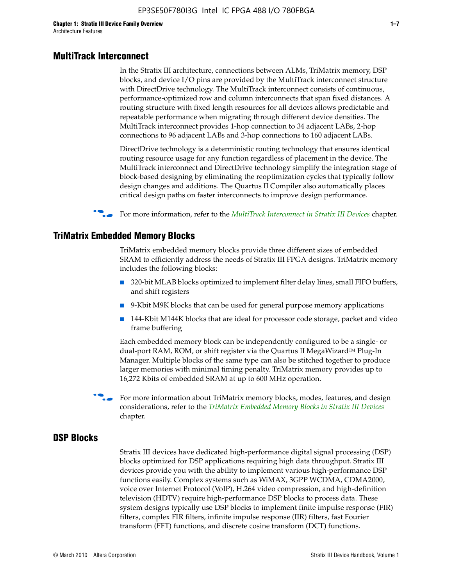#### **MultiTrack Interconnect**

In the Stratix III architecture, connections between ALMs, TriMatrix memory, DSP blocks, and device I/O pins are provided by the MultiTrack interconnect structure with DirectDrive technology. The MultiTrack interconnect consists of continuous, performance-optimized row and column interconnects that span fixed distances. A routing structure with fixed length resources for all devices allows predictable and repeatable performance when migrating through different device densities. The MultiTrack interconnect provides 1-hop connection to 34 adjacent LABs, 2-hop connections to 96 adjacent LABs and 3-hop connections to 160 adjacent LABs.

DirectDrive technology is a deterministic routing technology that ensures identical routing resource usage for any function regardless of placement in the device. The MultiTrack interconnect and DirectDrive technology simplify the integration stage of block-based designing by eliminating the reoptimization cycles that typically follow design changes and additions. The Quartus II Compiler also automatically places critical design paths on faster interconnects to improve design performance.

#### f For more information, refer to the *[MultiTrack Interconnect in Stratix III Devices](http://www.altera.com/literature/hb/stx3/stx3_siii51003.pdf)* chapter.

#### **TriMatrix Embedded Memory Blocks**

TriMatrix embedded memory blocks provide three different sizes of embedded SRAM to efficiently address the needs of Stratix III FPGA designs. TriMatrix memory includes the following blocks:

- 320-bit MLAB blocks optimized to implement filter delay lines, small FIFO buffers, and shift registers
- 9-Kbit M9K blocks that can be used for general purpose memory applications
- 144-Kbit M144K blocks that are ideal for processor code storage, packet and video frame buffering

Each embedded memory block can be independently configured to be a single- or dual-port RAM, ROM, or shift register via the Quartus II MegaWizard™ Plug-In Manager. Multiple blocks of the same type can also be stitched together to produce larger memories with minimal timing penalty. TriMatrix memory provides up to 16,272 Kbits of embedded SRAM at up to 600 MHz operation.

For more information about TriMatrix memory blocks, modes, features, and design considerations, refer to the *[TriMatrix Embedded Memory Blocks in Stratix III Devices](http://www.altera.com/literature/hb/stx3/stx3_siii51004.pdf)* chapter.

#### **DSP Blocks**

Stratix III devices have dedicated high-performance digital signal processing (DSP) blocks optimized for DSP applications requiring high data throughput. Stratix III devices provide you with the ability to implement various high-performance DSP functions easily. Complex systems such as WiMAX, 3GPP WCDMA, CDMA2000, voice over Internet Protocol (VoIP), H.264 video compression, and high-definition television (HDTV) require high-performance DSP blocks to process data. These system designs typically use DSP blocks to implement finite impulse response (FIR) filters, complex FIR filters, infinite impulse response (IIR) filters, fast Fourier transform (FFT) functions, and discrete cosine transform (DCT) functions.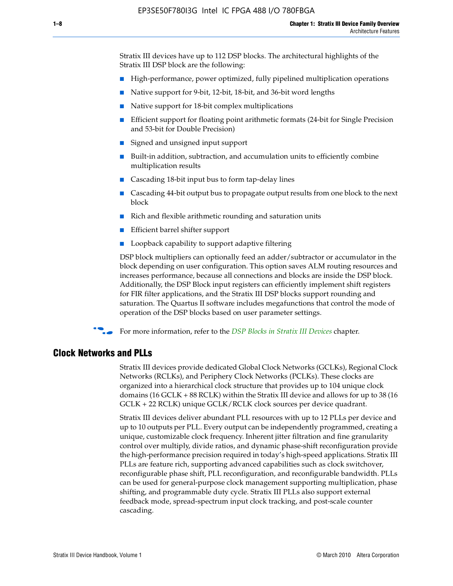Stratix III devices have up to 112 DSP blocks. The architectural highlights of the Stratix III DSP block are the following:

- High-performance, power optimized, fully pipelined multiplication operations
- Native support for 9-bit, 12-bit, 18-bit, and 36-bit word lengths
- Native support for 18-bit complex multiplications
- Efficient support for floating point arithmetic formats (24-bit for Single Precision and 53-bit for Double Precision)
- Signed and unsigned input support
- Built-in addition, subtraction, and accumulation units to efficiently combine multiplication results
- Cascading 18-bit input bus to form tap-delay lines
- Cascading 44-bit output bus to propagate output results from one block to the next block
- Rich and flexible arithmetic rounding and saturation units
- Efficient barrel shifter support
- Loopback capability to support adaptive filtering

DSP block multipliers can optionally feed an adder/subtractor or accumulator in the block depending on user configuration. This option saves ALM routing resources and increases performance, because all connections and blocks are inside the DSP block. Additionally, the DSP Block input registers can efficiently implement shift registers for FIR filter applications, and the Stratix III DSP blocks support rounding and saturation. The Quartus II software includes megafunctions that control the mode of operation of the DSP blocks based on user parameter settings.

f For more information, refer to the *[DSP Blocks in Stratix III Devices](http://www.altera.com/literature/hb/stx3/stx3_siii51005.pdf)* chapter.

#### **Clock Networks and PLLs**

Stratix III devices provide dedicated Global Clock Networks (GCLKs), Regional Clock Networks (RCLKs), and Periphery Clock Networks (PCLKs). These clocks are organized into a hierarchical clock structure that provides up to 104 unique clock domains (16 GCLK + 88 RCLK) within the Stratix III device and allows for up to 38 (16 GCLK + 22 RCLK) unique GCLK/RCLK clock sources per device quadrant.

Stratix III devices deliver abundant PLL resources with up to 12 PLLs per device and up to 10 outputs per PLL. Every output can be independently programmed, creating a unique, customizable clock frequency. Inherent jitter filtration and fine granularity control over multiply, divide ratios, and dynamic phase-shift reconfiguration provide the high-performance precision required in today's high-speed applications. Stratix III PLLs are feature rich, supporting advanced capabilities such as clock switchover, reconfigurable phase shift, PLL reconfiguration, and reconfigurable bandwidth. PLLs can be used for general-purpose clock management supporting multiplication, phase shifting, and programmable duty cycle. Stratix III PLLs also support external feedback mode, spread-spectrum input clock tracking, and post-scale counter cascading.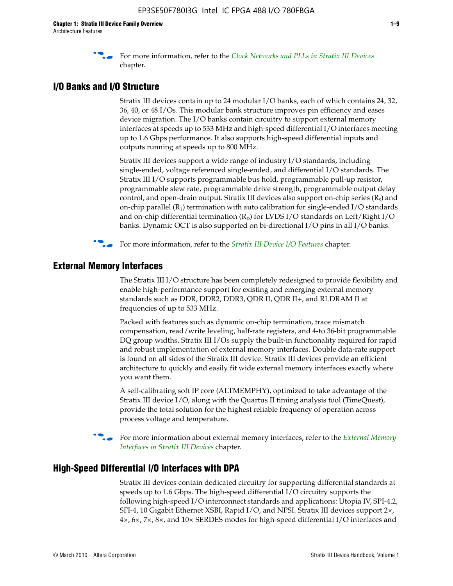f For more information, refer to the *[Clock Networks and PLLs in Stratix III Devices](http://www.altera.com/literature/hb/stx3/stx3_siii51006.pdf)* chapter.

## **I/O Banks and I/O Structure**

Stratix III devices contain up to 24 modular I/O banks, each of which contains 24, 32, 36, 40, or 48 I/Os. This modular bank structure improves pin efficiency and eases device migration. The I/O banks contain circuitry to support external memory interfaces at speeds up to 533 MHz and high-speed differential I/O interfaces meeting up to 1.6 Gbps performance. It also supports high-speed differential inputs and outputs running at speeds up to 800 MHz.

Stratix III devices support a wide range of industry I/O standards, including single-ended, voltage referenced single-ended, and differential I/O standards. The Stratix III I/O supports programmable bus hold, programmable pull-up resistor, programmable slew rate, programmable drive strength, programmable output delay control, and open-drain output. Stratix III devices also support on-chip series  $(R<sub>s</sub>)$  and on-chip parallel  $(R_T)$  termination with auto calibration for single-ended I/O standards and on-chip differential termination  $(R_D)$  for LVDS I/O standards on Left/Right I/O banks. Dynamic OCT is also supported on bi-directional I/O pins in all I/O banks.

**For more information, refer to the** *[Stratix III Device I/O Features](http://www.altera.com/literature/hb/stx3/stx3_siii51007.pdf)* **chapter.** 

## **External Memory Interfaces**

The Stratix III I/O structure has been completely redesigned to provide flexibility and enable high-performance support for existing and emerging external memory standards such as DDR, DDR2, DDR3, QDR II, QDR II+, and RLDRAM II at frequencies of up to 533 MHz.

Packed with features such as dynamic on-chip termination, trace mismatch compensation, read/write leveling, half-rate registers, and 4-to 36-bit programmable DQ group widths, Stratix III I/Os supply the built-in functionality required for rapid and robust implementation of external memory interfaces. Double data-rate support is found on all sides of the Stratix III device. Stratix III devices provide an efficient architecture to quickly and easily fit wide external memory interfaces exactly where you want them.

A self-calibrating soft IP core (ALTMEMPHY), optimized to take advantage of the Stratix III device I/O, along with the Quartus II timing analysis tool (TimeQuest), provide the total solution for the highest reliable frequency of operation across process voltage and temperature.

f For more information about external memory interfaces, refer to the *[External Memory](http://www.altera.com/literature/hb/stx3/stx3_siii51008.pdf)  [Interfaces in Stratix III Devices](http://www.altera.com/literature/hb/stx3/stx3_siii51008.pdf)* chapter.

#### **High-Speed Differential I/O Interfaces with DPA**

Stratix III devices contain dedicated circuitry for supporting differential standards at speeds up to 1.6 Gbps. The high-speed differential I/O circuitry supports the following high-speed I/O interconnect standards and applications: Utopia IV, SPI-4.2, SFI-4, 10 Gigabit Ethernet XSBI, Rapid I/O, and NPSI. Stratix III devices support 2×, 4×, 6×, 7×, 8×, and 10× SERDES modes for high-speed differential I/O interfaces and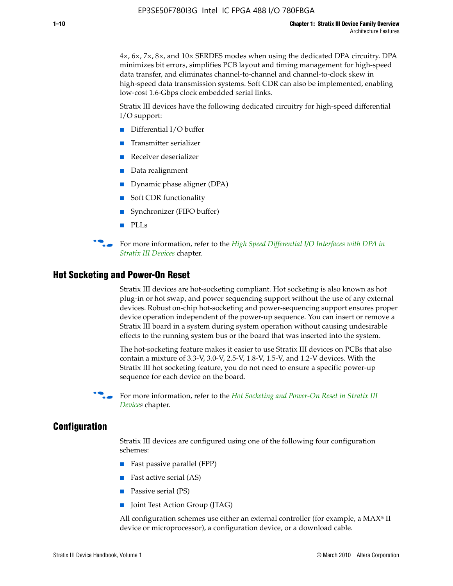4×, 6×, 7×, 8×, and 10× SERDES modes when using the dedicated DPA circuitry. DPA minimizes bit errors, simplifies PCB layout and timing management for high-speed data transfer, and eliminates channel-to-channel and channel-to-clock skew in high-speed data transmission systems. Soft CDR can also be implemented, enabling low-cost 1.6-Gbps clock embedded serial links.

Stratix III devices have the following dedicated circuitry for high-speed differential I/O support:

- Differential I/O buffer
- Transmitter serializer
- Receiver deserializer
- Data realignment
- Dynamic phase aligner (DPA)
- Soft CDR functionality
- Synchronizer (FIFO buffer)
- PLLs

**for more information, refer to the** *High Speed Differential I/O Interfaces with DPA in [Stratix III Devices](http://www.altera.com/literature/hb/stx3/stx3_siii51009.pdf)* chapter.

#### **Hot Socketing and Power-On Reset**

Stratix III devices are hot-socketing compliant. Hot socketing is also known as hot plug-in or hot swap, and power sequencing support without the use of any external devices. Robust on-chip hot-socketing and power-sequencing support ensures proper device operation independent of the power-up sequence. You can insert or remove a Stratix III board in a system during system operation without causing undesirable effects to the running system bus or the board that was inserted into the system.

The hot-socketing feature makes it easier to use Stratix III devices on PCBs that also contain a mixture of 3.3-V, 3.0-V, 2.5-V, 1.8-V, 1.5-V, and 1.2-V devices. With the Stratix III hot socketing feature, you do not need to ensure a specific power-up sequence for each device on the board.

f For more information, refer to the *[Hot Socketing and Power-On Reset in Stratix III](http://www.altera.com/literature/hb/stx3/stx3_siii51010.pdf)  [Device](http://www.altera.com/literature/hb/stx3/stx3_siii51010.pdf)s* chapter.

#### **Configuration**

Stratix III devices are configured using one of the following four configuration schemes:

- Fast passive parallel (FPP)
- Fast active serial (AS)
- Passive serial (PS)
- Joint Test Action Group (JTAG)

All configuration schemes use either an external controller (for example, a  $MAX<sup>®</sup>$  II device or microprocessor), a configuration device, or a download cable.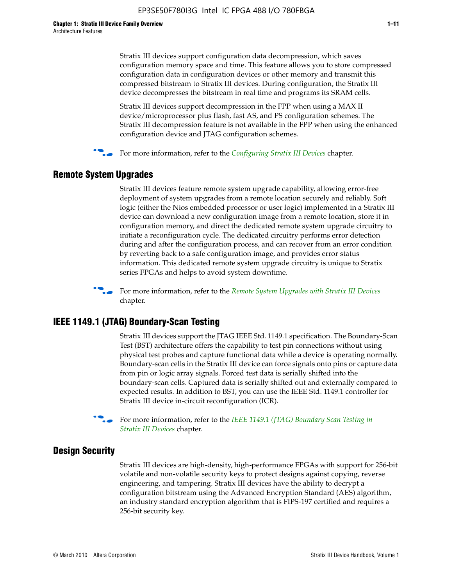Stratix III devices support configuration data decompression, which saves configuration memory space and time. This feature allows you to store compressed configuration data in configuration devices or other memory and transmit this compressed bitstream to Stratix III devices. During configuration, the Stratix III device decompresses the bitstream in real time and programs its SRAM cells.

Stratix III devices support decompression in the FPP when using a MAX II device/microprocessor plus flash, fast AS, and PS configuration schemes. The Stratix III decompression feature is not available in the FPP when using the enhanced configuration device and JTAG configuration schemes.

For more information, refer to the *[Configuring Stratix III Devices](http://www.altera.com/literature/hb/stx3/stx3_siii51011.pdf)* chapter.

## **Remote System Upgrades**

Stratix III devices feature remote system upgrade capability, allowing error-free deployment of system upgrades from a remote location securely and reliably. Soft logic (either the Nios embedded processor or user logic) implemented in a Stratix III device can download a new configuration image from a remote location, store it in configuration memory, and direct the dedicated remote system upgrade circuitry to initiate a reconfiguration cycle. The dedicated circuitry performs error detection during and after the configuration process, and can recover from an error condition by reverting back to a safe configuration image, and provides error status information. This dedicated remote system upgrade circuitry is unique to Stratix series FPGAs and helps to avoid system downtime.



**For more information, refer to the** *[Remote System Upgrades with Stratix III Devices](http://www.altera.com/literature/hb/stx3/stx3_siii51012.pdf)* chapter.

#### **IEEE 1149.1 (JTAG) Boundary-Scan Testing**

Stratix III devices support the JTAG IEEE Std. 1149.1 specification. The Boundary-Scan Test (BST) architecture offers the capability to test pin connections without using physical test probes and capture functional data while a device is operating normally. Boundary-scan cells in the Stratix III device can force signals onto pins or capture data from pin or logic array signals. Forced test data is serially shifted into the boundary-scan cells. Captured data is serially shifted out and externally compared to expected results. In addition to BST, you can use the IEEE Std. 1149.1 controller for Stratix III device in-circuit reconfiguration (ICR).

For more information, refer to the *IEEE 1149.1 (JTAG) Boundary Scan Testing in [Stratix III Devices](http://www.altera.com/literature/hb/stx3/stx3_siii51013.pdf)* chapter.

## **Design Security**

Stratix III devices are high-density, high-performance FPGAs with support for 256-bit volatile and non-volatile security keys to protect designs against copying, reverse engineering, and tampering. Stratix III devices have the ability to decrypt a configuration bitstream using the Advanced Encryption Standard (AES) algorithm, an industry standard encryption algorithm that is FIPS-197 certified and requires a 256-bit security key.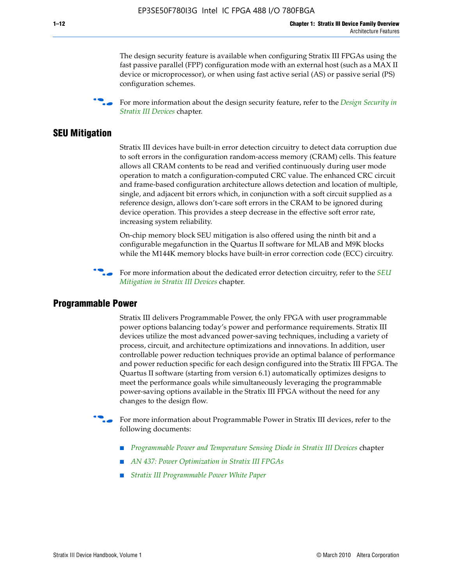The design security feature is available when configuring Stratix III FPGAs using the fast passive parallel (FPP) configuration mode with an external host (such as a MAX II device or microprocessor), or when using fast active serial (AS) or passive serial (PS) configuration schemes.

f For more information about the design security feature, refer to the *[Design Security in](http://www.altera.com/literature/hb/stx3/stx3_siii51014.pdf)  [Stratix III Devices](http://www.altera.com/literature/hb/stx3/stx3_siii51014.pdf)* chapter.

#### **SEU Mitigation**

Stratix III devices have built-in error detection circuitry to detect data corruption due to soft errors in the configuration random-access memory (CRAM) cells. This feature allows all CRAM contents to be read and verified continuously during user mode operation to match a configuration-computed CRC value. The enhanced CRC circuit and frame-based configuration architecture allows detection and location of multiple, single, and adjacent bit errors which, in conjunction with a soft circuit supplied as a reference design, allows don't-care soft errors in the CRAM to be ignored during device operation. This provides a steep decrease in the effective soft error rate, increasing system reliability.

On-chip memory block SEU mitigation is also offered using the ninth bit and a configurable megafunction in the Quartus II software for MLAB and M9K blocks while the M144K memory blocks have built-in error correction code (ECC) circuitry.

For more information about the dedicated error detection circuitry, refer to the *SEU [Mitigation in Stratix III Devices](http://www.altera.com/literature/hb/stx3/stx3_siii51015.pdf)* chapter.

#### **Programmable Power**

Stratix III delivers Programmable Power, the only FPGA with user programmable power options balancing today's power and performance requirements. Stratix III devices utilize the most advanced power-saving techniques, including a variety of process, circuit, and architecture optimizations and innovations. In addition, user controllable power reduction techniques provide an optimal balance of performance and power reduction specific for each design configured into the Stratix III FPGA. The Quartus II software (starting from version 6.1) automatically optimizes designs to meet the performance goals while simultaneously leveraging the programmable power-saving options available in the Stratix III FPGA without the need for any changes to the design flow.

For more information about Programmable Power in Stratix III devices, refer to the following documents:

- *[Programmable Power and Temperature Sensing Diode in Stratix III Devices](http://www.altera.com/literature/hb/stx3/stx3_siii51016.pdf)* chapter
- *[AN 437: Power Optimization in Stratix III FPGAs](http://www.altera.com/literature/an/AN437.pdf)*
- *[Stratix III Programmable Power White Paper](http://www.altera.com/literature/wp/wp-01006.pdf)*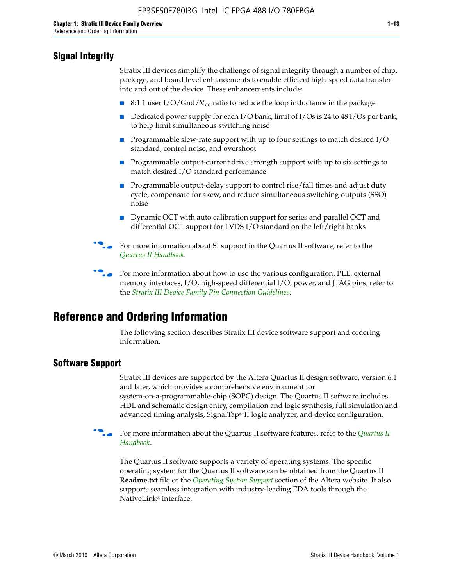# **Signal Integrity**

Stratix III devices simplify the challenge of signal integrity through a number of chip, package, and board level enhancements to enable efficient high-speed data transfer into and out of the device. These enhancements include:

- 8:1:1 user I/O/Gnd/V<sub>cc</sub> ratio to reduce the loop inductance in the package
- Dedicated power supply for each I/O bank, limit of I/Os is 24 to 48 I/Os per bank, to help limit simultaneous switching noise
- Programmable slew-rate support with up to four settings to match desired I/O standard, control noise, and overshoot
- Programmable output-current drive strength support with up to six settings to match desired I/O standard performance
- Programmable output-delay support to control rise/fall times and adjust duty cycle, compensate for skew, and reduce simultaneous switching outputs (SSO) noise
- Dynamic OCT with auto calibration support for series and parallel OCT and differential OCT support for LVDS I/O standard on the left/right banks
- For mor[e](http://www.altera.com/literature/hb/qts/quartusii_handbook.pdf) information about SI support in the Quartus II software, refer to the *[Quartus II Handbook](http://www.altera.com/literature/hb/qts/quartusii_handbook.pdf)*.

For more information about how to use the various configuration, PLL, external memory interfaces, I/O, high-speed differential I/O, power, and JTAG pins, refer to the *[Stratix III Device Family Pin Connection Guidelines](http://www.altera.com/literature/dp/stx3/PCG-01004.pdf)*.

# **Reference and Ordering Information**

The following section describes Stratix III device software support and ordering information.

## **Software Support**

Stratix III devices are supported by the Altera Quartus II design software, version 6.1 and later, which provides a comprehensive environment for system-on-a-programmable-chip (SOPC) design. The Quartus II software includes HDL and schematic design entry, compilation and logic synthesis, full simulation and advanced timing analysis, SignalTap® II logic analyzer, and device configuration.

**For more information about the [Quartus II](http://www.altera.com/literature/hb/qts/quartusii_handbook.pdf) software features, refer to the** *Quartus II* **<b>Fig. 7** *[Handbook](http://www.altera.com/literature/hb/qts/quartusii_handbook.pdf)*.

The Quartus II software supports a variety of operating systems. The specific operating system for the Quartus II software can be obtained from the Quartus II **Readme.txt** file or the *[Operating System Support](http://www.altera.com/support/software/os_support/oss-index.html)* section of the Altera website. It also supports seamless integration with industry-leading EDA tools through the NativeLink® interface.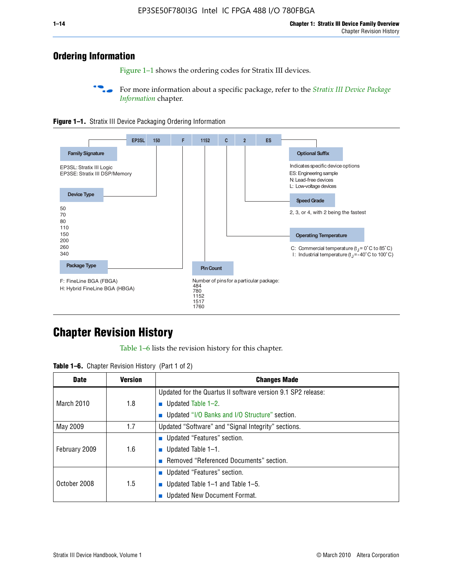# **Ordering Information**

Figure 1–1 shows the ordering codes for Stratix III devices.

For more information about a specific package, refer to the *Stratix III Device Package [Information](http://www.altera.com/literature/hb/stx3/stx3_siii51017.pdf)* chapter.





# **[C](http://www.altera.com/literature/hb/stx3/stx3_siii51012.pdf)hapter Revision History**

Table 1–6 lists the revision history for this chapter.

| <b>Table 1–6.</b> Chapter Revision History (Part 1 of 2) |  |  |  |  |  |
|----------------------------------------------------------|--|--|--|--|--|
|----------------------------------------------------------|--|--|--|--|--|

| <b>Date</b>       | <b>Version</b> | <b>Changes Made</b>                                          |
|-------------------|----------------|--------------------------------------------------------------|
|                   |                | Updated for the Quartus II software version 9.1 SP2 release: |
| <b>March 2010</b> | 1.8            | <b>u</b> Updated Table $1-2$ .                               |
|                   |                | ■ Updated "I/O Banks and I/O Structure" section.             |
| May 2009          | 1.7            | Updated "Software" and "Signal Integrity" sections.          |
|                   |                | Updated "Features" section.                                  |
| February 2009     | 1.6            | <b>u</b> Updated Table $1-1$ .                               |
|                   |                | Removed "Referenced Documents" section.                      |
|                   |                | ■ Updated "Features" section.                                |
| October 2008      | 1.5            | ■ Updated Table 1–1 and Table 1–5.                           |
|                   |                | <b>Updated New Document Format.</b>                          |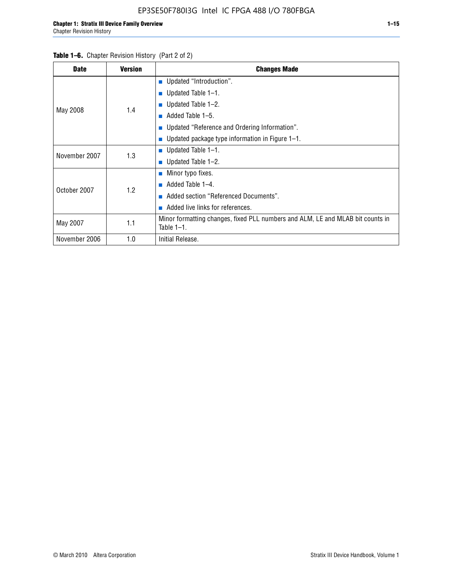| <b>Date</b>   | <b>Version</b> | <b>Changes Made</b>                                                                             |
|---------------|----------------|-------------------------------------------------------------------------------------------------|
|               |                | <b>Updated "Introduction".</b>                                                                  |
|               |                | ■ Updated Table $1-1$ .                                                                         |
|               | 1.4            | Updated Table 1-2.                                                                              |
| May 2008      |                | Added Table 1-5.                                                                                |
|               |                | ■ Updated "Reference and Ordering Information".                                                 |
|               |                | Updated package type information in Figure 1-1.                                                 |
| November 2007 | 1.3            | ■ Updated Table $1-1$ .                                                                         |
|               |                | ■ Updated Table $1-2$ .                                                                         |
|               |                | $\blacksquare$ Minor typo fixes.                                                                |
| October 2007  | 1.2            | Added Table 1-4.                                                                                |
|               |                | Added section "Referenced Documents".                                                           |
|               |                | Added live links for references.                                                                |
| May 2007      | 1.1            | Minor formatting changes, fixed PLL numbers and ALM, LE and MLAB bit counts in<br>Table $1-1$ . |
| November 2006 | 1.0            | Initial Release.                                                                                |